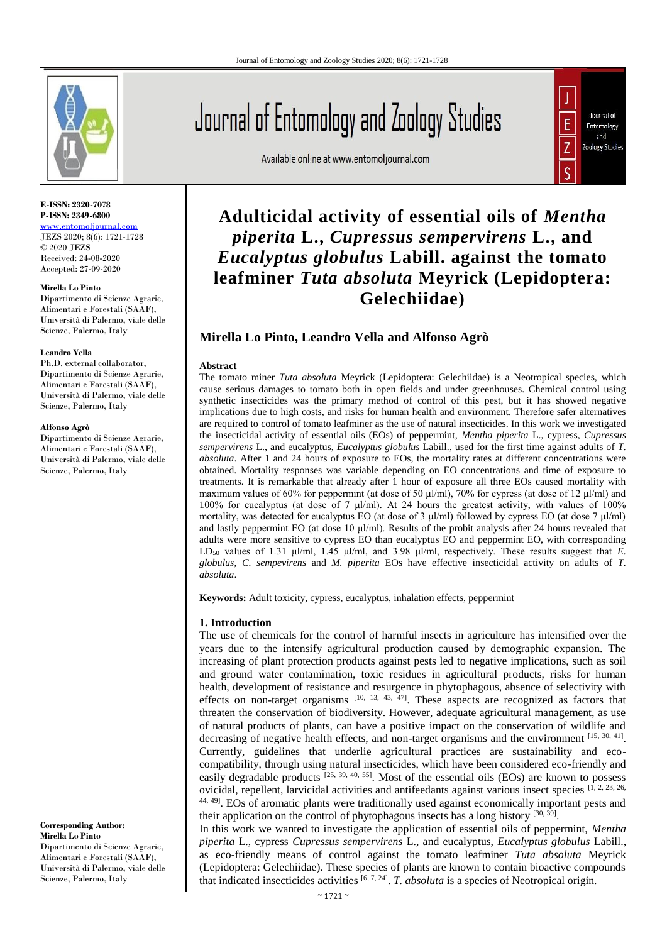

#### **E-ISSN: 2320-7078 P-ISSN: 2349-6800** [www.entomoljournal.com](http://www.entomoljournal.com/)

JEZS 2020; 8(6): 1721-1728 © 2020 JEZS Received: 24-08-2020 Accepted: 27-09-2020

**Mirella Lo Pinto** 

Dipartimento di Scienze Agrarie, Alimentari e Forestali (SAAF), Università di Palermo, viale delle Scienze, Palermo, Italy

#### **Leandro Vella**

Ph.D. external collaborator, Dipartimento di Scienze Agrarie, Alimentari e Forestali (SAAF), Università di Palermo, viale delle Scienze, Palermo, Italy

#### **Alfonso Agrò**

Dipartimento di Scienze Agrarie, Alimentari e Forestali (SAAF), Università di Palermo, viale delle Scienze, Palermo, Italy

**Corresponding Author: Mirella Lo Pinto**  Dipartimento di Scienze Agrarie, Alimentari e Forestali (SAAF), Università di Palermo, viale delle Scienze, Palermo, Italy

# Journal of Entomology and Zoology Studies

Available online at www.entomoljournal.com



# **Adulticidal activity of essential oils of** *Mentha piperita* **L.,** *Cupressus sempervirens* **L., and**  *Eucalyptus globulus* **Labill. against the tomato leafminer** *Tuta absoluta* **Meyrick (Lepidoptera: Gelechiidae)**

# **Mirella Lo Pinto, Leandro Vella and Alfonso Agrò**

#### **Abstract**

The tomato miner *Tuta absoluta* Meyrick (Lepidoptera: Gelechiidae) is a Neotropical species, which cause serious damages to tomato both in open fields and under greenhouses. Chemical control using synthetic insecticides was the primary method of control of this pest, but it has showed negative implications due to high costs, and risks for human health and environment. Therefore safer alternatives are required to control of tomato leafminer as the use of natural insecticides. In this work we investigated the insecticidal activity of essential oils (EOs) of peppermint, *Mentha piperita* L., cypress, *Cupressus sempervirens* L., and eucalyptus, *Eucalyptus globulus* Labill., used for the first time against adults of *T. absoluta*. After 1 and 24 hours of exposure to EOs, the mortality rates at different concentrations were obtained. Mortality responses was variable depending on EO concentrations and time of exposure to treatments. It is remarkable that already after 1 hour of exposure all three EOs caused mortality with maximum values of 60% for peppermint (at dose of 50 μl/ml), 70% for cypress (at dose of 12 μl/ml) and 100% for eucalyptus (at dose of 7 μl/ml). At 24 hours the greatest activity, with values of 100% mortality, was detected for eucalyptus EO (at dose of 3  $\mu$ l/ml) followed by cypress EO (at dose 7  $\mu$ l/ml) and lastly peppermint EO (at dose 10 μl/ml). Results of the probit analysis after 24 hours revealed that adults were more sensitive to cypress EO than eucalyptus EO and peppermint EO, with corresponding LD<sup>50</sup> values of 1.31 μl/ml, 1.45 μl/ml, and 3.98 μl/ml, respectively. These results suggest that *E. globulus*, *C. sempevirens* and *M. piperita* EOs have effective insecticidal activity on adults of *T. absoluta*.

**Keywords:** Adult toxicity, cypress, eucalyptus, inhalation effects, peppermint

#### **1. Introduction**

The use of chemicals for the control of harmful insects in agriculture has intensified over the years due to the intensify agricultural production caused by demographic expansion. The increasing of plant protection products against pests led to negative implications, such as soil and ground water contamination, toxic residues in agricultural products, risks for human health, development of resistance and resurgence in phytophagous, absence of selectivity with effects on non-target organisms  $[10, 13, 43, 47]$ . These aspects are recognized as factors that threaten the conservation of biodiversity. However, adequate agricultural management, as use of natural products of plants, can have a positive impact on the conservation of wildlife and decreasing of negative health effects, and non-target organisms and the environment [15, 30, 41]. Currently, guidelines that underlie agricultural practices are sustainability and ecocompatibility, through using natural insecticides, which have been considered eco-friendly and easily degradable products  $[25, 39, 40, 55]$ . Most of the essential oils (EOs) are known to possess ovicidal, repellent, larvicidal activities and antifeedants against various insect species [1, 2, 23, 26, 44, 49]. EOs of aromatic plants were traditionally used against economically important pests and their application on the control of phytophagous insects has a long history <sup>[30, 39]</sup>.

In this work we wanted to investigate the application of essential oils of peppermint, *Mentha piperita* L., cypress *Cupressus sempervirens* L., and eucalyptus, *Eucalyptus globulus* Labill., as eco-friendly means of control against the tomato leafminer *Tuta absoluta* Meyrick (Lepidoptera: Gelechiidae). These species of plants are known to contain bioactive compounds that indicated insecticides activities  $[6, 7, 24]$ . *T. absoluta* is a species of Neotropical origin.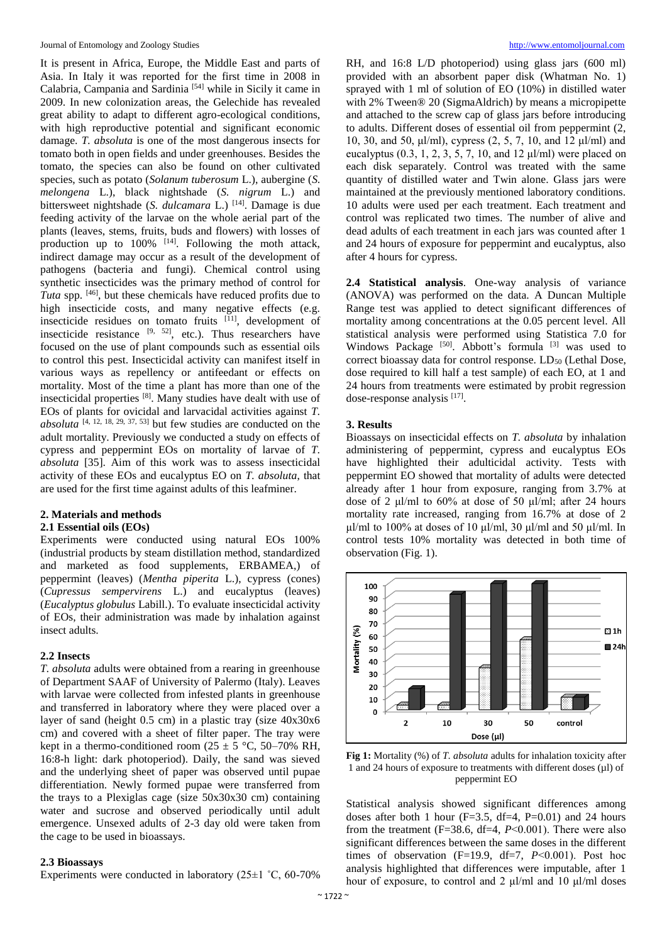It is present in Africa, Europe, the Middle East and parts of Asia. In Italy it was reported for the first time in 2008 in Calabria, Campania and Sardinia [54] while in Sicily it came in 2009. In new colonization areas, the Gelechide has revealed great ability to adapt to different agro-ecological conditions, with high reproductive potential and significant economic damage. *T. absoluta* is one of the most dangerous insects for tomato both in open fields and under greenhouses. Besides the tomato, the species can also be found on other cultivated species, such as potato (*Solanum tuberosum* L.), aubergine (*S. melongena* L.), black nightshade (*S. nigrum* L.) and bittersweet nightshade (*S. dulcamara* L.) [14]. Damage is due feeding activity of the larvae on the whole aerial part of the plants (leaves, stems, fruits, buds and flowers) with losses of production up to  $100\%$  <sup>[14]</sup>. Following the moth attack, indirect damage may occur as a result of the development of pathogens (bacteria and fungi). Chemical control using synthetic insecticides was the primary method of control for *Tuta* spp. [46], but these chemicals have reduced profits due to high insecticide costs, and many negative effects (e.g. insecticide residues on tomato fruits  $[11]$ , development of insecticide resistance  $[9, 52]$ , etc.). Thus researchers have focused on the use of plant compounds such as essential oils to control this pest. Insecticidal activity can manifest itself in various ways as repellency or antifeedant or effects on mortality. Most of the time a plant has more than one of the insecticidal properties [8]. Many studies have dealt with use of EOs of plants for ovicidal and larvacidal activities against *T. absoluta* <sup>[4, 12, 18, 29, 37, 53] but few studies are conducted on the</sup> adult mortality. Previously we conducted a study on effects of cypress and peppermint EOs on mortality of larvae of *T. absoluta* [35]. Aim of this work was to assess insecticidal activity of these EOs and eucalyptus EO on *T. absoluta*, that are used for the first time against adults of this leafminer.

#### **2. Materials and methods**

#### **2.1 Essential oils (EOs)**

Experiments were conducted using natural EOs 100% (industrial products by steam distillation method, standardized and marketed as food supplements, ERBAMEA,) of peppermint (leaves) (*Mentha piperita* L.), cypress (cones) (*Cupressus sempervirens* L.) and eucalyptus (leaves) (*Eucalyptus globulus* Labill.). To evaluate insecticidal activity of EOs, their administration was made by inhalation against insect adults.

#### **2.2 Insects**

*T. absoluta* adults were obtained from a rearing in greenhouse of Department SAAF of University of Palermo (Italy). Leaves with larvae were collected from infested plants in greenhouse and transferred in laboratory where they were placed over a layer of sand (height 0.5 cm) in a plastic tray (size 40x30x6 cm) and covered with a sheet of filter paper. The tray were kept in a thermo-conditioned room ( $25 \pm 5$  °C, 50–70% RH, 16:8-h light: dark photoperiod). Daily, the sand was sieved and the underlying sheet of paper was observed until pupae differentiation. Newly formed pupae were transferred from the trays to a Plexiglas cage (size 50x30x30 cm) containing water and sucrose and observed periodically until adult emergence. Unsexed adults of 2-3 day old were taken from the cage to be used in bioassays.

#### **2.3 Bioassays**

Experiments were conducted in laboratory  $(25\pm1~\degree C, 60\text{-}70\%$ 

RH, and 16:8 L/D photoperiod) using glass jars (600 ml) provided with an absorbent paper disk (Whatman No. 1) sprayed with 1 ml of solution of EO (10%) in distilled water with 2% Tween® 20 (SigmaAldrich) by means a micropipette and attached to the screw cap of glass jars before introducing to adults. Different doses of essential oil from peppermint (2, 10, 30, and 50, μl/ml), cypress (2, 5, 7, 10, and 12 μl/ml) and eucalyptus  $(0.3, 1, 2, 3, 5, 7, 10, \text{ and } 12 \text{ µl/ml})$  were placed on each disk separately. Control was treated with the same quantity of distilled water and Twin alone. Glass jars were maintained at the previously mentioned laboratory conditions. 10 adults were used per each treatment. Each treatment and control was replicated two times. The number of alive and dead adults of each treatment in each jars was counted after 1 and 24 hours of exposure for peppermint and eucalyptus, also after 4 hours for cypress.

**2.4 Statistical analysis**. One-way analysis of variance (ANOVA) was performed on the data. A Duncan Multiple Range test was applied to detect significant differences of mortality among concentrations at the 0.05 percent level. All statistical analysis were performed using Statistica 7.0 for Windows Package [50]. Abbott's formula [3] was used to correct bioassay data for control response. LD<sub>50</sub> (Lethal Dose, dose required to kill half a test sample) of each EO, at 1 and 24 hours from treatments were estimated by probit regression dose-response analysis [17].

#### **3. Results**

Bioassays on insecticidal effects on *T. absoluta* by inhalation administering of peppermint, cypress and eucalyptus EOs have highlighted their adulticidal activity. Tests with peppermint EO showed that mortality of adults were detected already after 1 hour from exposure, ranging from 3.7% at dose of 2 μl/ml to 60% at dose of 50 μl/ml; after 24 hours mortality rate increased, ranging from 16.7% at dose of 2 μl/ml to 100% at doses of 10 μl/ml, 30 μl/ml and 50 μl/ml. In control tests 10% mortality was detected in both time of observation (Fig. 1).



**Fig 1:** Mortality (%) of *T. absoluta* adults for inhalation toxicity after 1 and 24 hours of exposure to treatments with different doses (µl) of peppermint EO

Statistical analysis showed significant differences among doses after both 1 hour  $(F=3.5, df=4, P=0.01)$  and 24 hours from the treatment  $(F=38.6, df=4, P<0.001)$ . There were also significant differences between the same doses in the different times of observation (F=19.9, df=7, *P*˂0.001). Post hoc analysis highlighted that differences were imputable, after 1 hour of exposure, to control and 2 μl/ml and 10 μl/ml doses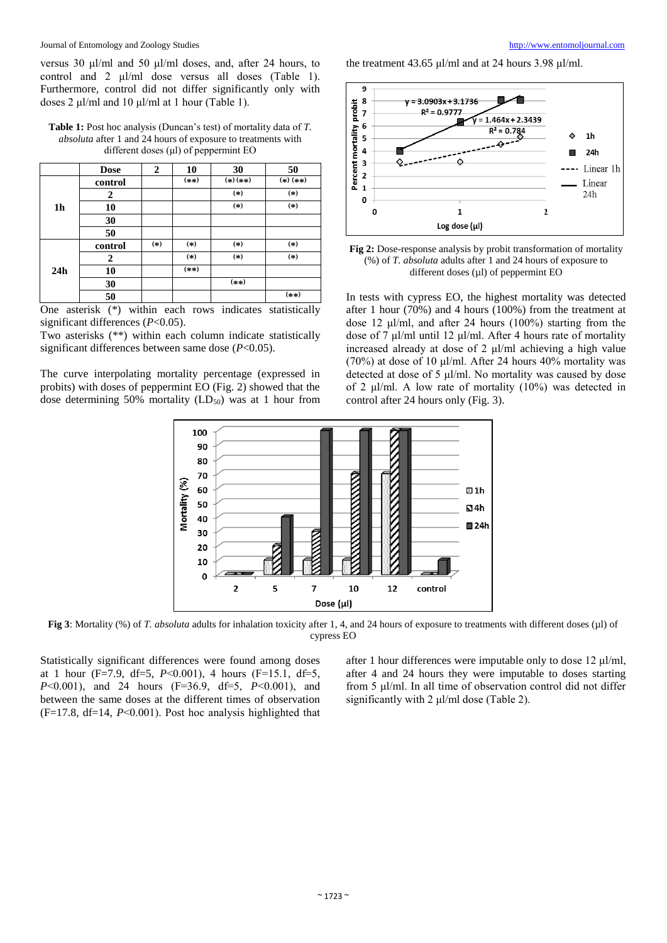versus 30 μl/ml and 50 μl/ml doses, and, after 24 hours, to control and 2 μl/ml dose versus all doses (Table 1). Furthermore, control did not differ significantly only with doses 2 μl/ml and 10 μl/ml at 1 hour (Table 1).

**Table 1:** Post hoc analysis (Duncan's test) of mortality data of *T. absoluta* after 1 and 24 hours of exposure to treatments with different doses (μl) of peppermint EO

|                | <b>Dose</b> | $\mathbf{2}$ | 10      | 30         | 50         |
|----------------|-------------|--------------|---------|------------|------------|
| 1 <sub>h</sub> | control     |              | $(***)$ | $(*)$ (**) | $(*)$ (**) |
|                | 2           |              |         | $(*)$      | $(*)$      |
|                | 10          |              |         | $(*)$      | $(*)$      |
|                | 30          |              |         |            |            |
|                | 50          |              |         |            |            |
| 24h            | control     | $(*)$        | $(*)$   | $(*)$      | $(*)$      |
|                | 2           |              | $(*)$   | $(*)$      | $(*)$      |
|                | 10          |              | $(***)$ |            |            |
|                | 30          |              |         | $(***)$    |            |
|                | 50          |              |         |            | $(***)$    |

One asterisk (\*) within each rows indicates statistically significant differences (*P*<0.05).

Two asterisks (\*\*) within each column indicate statistically significant differences between same dose (*P*<0.05).

The curve interpolating mortality percentage (expressed in probits) with doses of peppermint EO (Fig. 2) showed that the dose determining 50% mortality  $(LD_{50})$  was at 1 hour from the treatment 43.65 μl/ml and at 24 hours 3.98 μl/ml.



**Fig 2:** Dose-response analysis by probit transformation of mortality (%) of *T. absoluta* adults after 1 and 24 hours of exposure to different doses  $(\mu l)$  of peppermint EO

In tests with cypress EO, the highest mortality was detected after 1 hour (70%) and 4 hours (100%) from the treatment at dose 12 μl/ml, and after 24 hours (100%) starting from the dose of 7 μl/ml until 12 μl/ml. After 4 hours rate of mortality increased already at dose of 2 μl/ml achieving a high value (70%) at dose of 10  $\mu$ l/ml. After 24 hours 40% mortality was detected at dose of 5 μl/ml. No mortality was caused by dose of 2 μl/ml. A low rate of mortality (10%) was detected in control after 24 hours only (Fig. 3).



**Fig 3**: Mortality (%) of *T. absoluta* adults for inhalation toxicity after 1, 4, and 24 hours of exposure to treatments with different doses (µl) of cypress EO

Statistically significant differences were found among doses at 1 hour (F=7.9, df=5, *P*˂0.001), 4 hours (F=15.1, df=5, *P*˂0.001), and 24 hours (F=36.9, df=5, *P*˂0.001), and between the same doses at the different times of observation (F=17.8, df=14, *P*˂0.001). Post hoc analysis highlighted that after 1 hour differences were imputable only to dose 12 μl/ml, after 4 and 24 hours they were imputable to doses starting from 5 μl/ml. In all time of observation control did not differ significantly with 2 μl/ml dose (Table 2).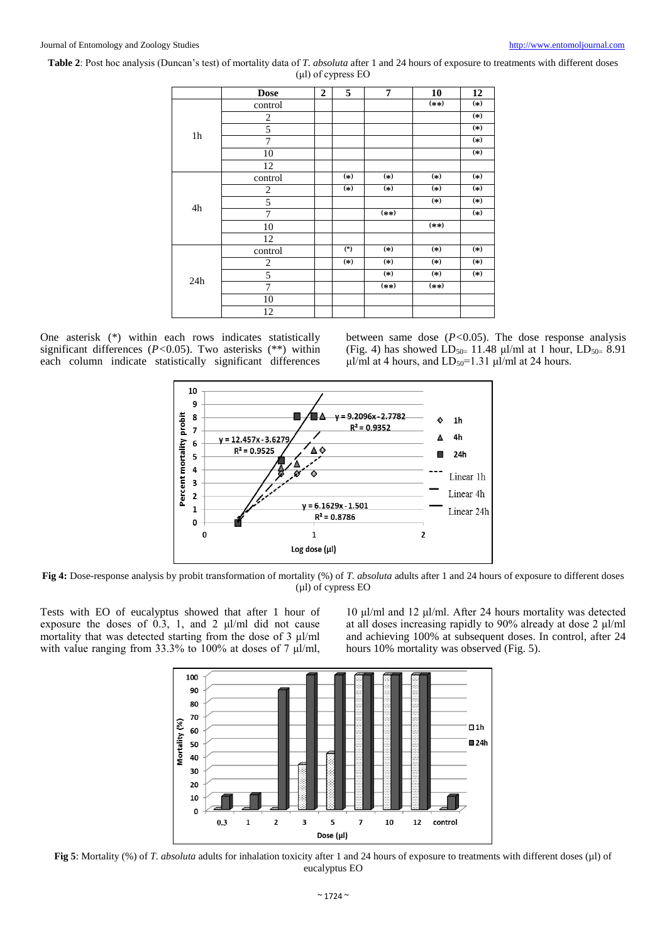**Table 2**: Post hoc analysis (Duncan's test) of mortality data of *T. absoluta* after 1 and 24 hours of exposure to treatments with different doses (μl) of cypress EO

|                | <b>Dose</b>    | $\overline{2}$ | 5     | 7       | 10      | 12    |
|----------------|----------------|----------------|-------|---------|---------|-------|
|                | control        |                |       |         | $(***)$ | $(*)$ |
|                | $\overline{2}$ |                |       |         |         | $(*)$ |
|                | 5              |                |       |         |         | $(*)$ |
| 1 <sub>h</sub> | 7              |                |       |         |         | $(*)$ |
|                | 10             |                |       |         |         | $(*)$ |
|                | 12             |                |       |         |         |       |
|                | control        |                | $(*)$ | $(*)$   | $(*)$   | $(*)$ |
|                | $\overline{2}$ |                | $(*)$ | $(*)$   | $(*)$   | $(*)$ |
|                | 5              |                |       |         | $(*)$   | $(*)$ |
| 4h             | 7              |                |       | $(**)$  |         | $(*)$ |
|                | 10             |                |       |         | $(***)$ |       |
|                | 12             |                |       |         |         |       |
|                | control        |                | $(*)$ | $(*)$   | $(*)$   | $(*)$ |
|                | $\overline{c}$ |                | $(*)$ | $(*)$   | $(*)$   | $(*)$ |
|                | 5              |                |       | $(*)$   | $(*)$   | $(*)$ |
| 24h            | 7              |                |       | $(***)$ | $(***)$ |       |
|                | 10             |                |       |         |         |       |
|                | 12             |                |       |         |         |       |

One asterisk (\*) within each rows indicates statistically significant differences (*P<*0.05). Two asterisks (\*\*) within each column indicate statistically significant differences between same dose  $(P<0.05)$ . The dose response analysis (Fig. 4) has showed  $LD_{50=} 11.48 \mu/ml$  at 1 hour,  $LD_{50=} 8.91$ μl/ml at 4 hours, and  $LD_{50} = 1.31$  μl/ml at 24 hours.



**Fig 4:** Dose-response analysis by probit transformation of mortality (%) of *T. absoluta* adults after 1 and 24 hours of exposure to different doses (µl) of cypress EO

Tests with EO of eucalyptus showed that after 1 hour of exposure the doses of 0.3, 1, and 2 μl/ml did not cause mortality that was detected starting from the dose of 3 μl/ml with value ranging from 33.3% to 100% at doses of 7 μl/ml,

10 μl/ml and 12 μl/ml. After 24 hours mortality was detected at all doses increasing rapidly to 90% already at dose 2 μl/ml and achieving 100% at subsequent doses. In control, after 24 hours 10% mortality was observed (Fig. 5).



**Fig 5**: Mortality (%) of *T. absoluta* adults for inhalation toxicity after 1 and 24 hours of exposure to treatments with different doses (µl) of eucalyptus EO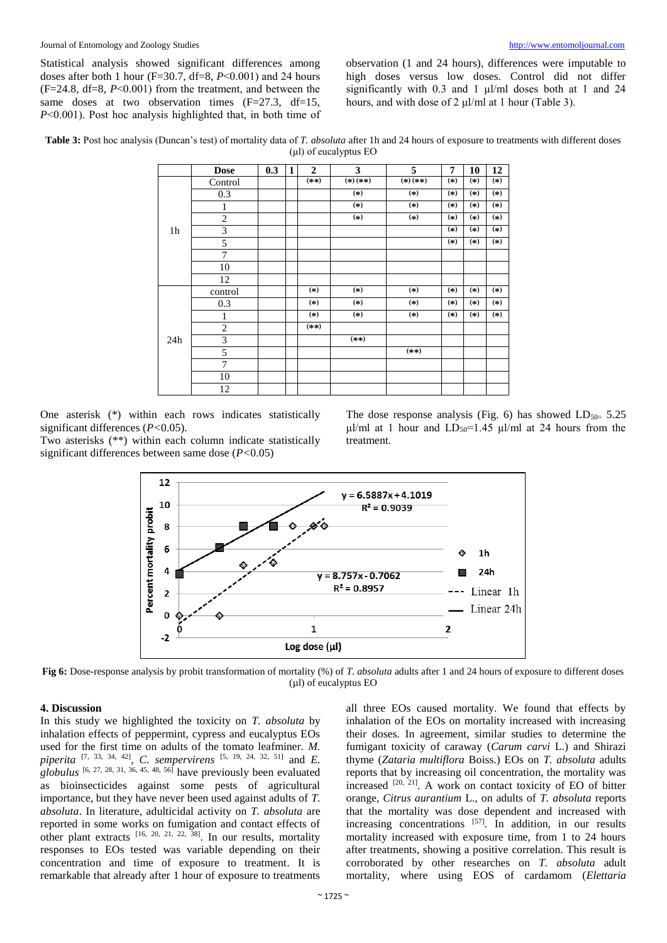Statistical analysis showed significant differences among doses after both 1 hour (F=30.7, df=8, *P*˂0.001) and 24 hours (F=24.8, df=8, *P*˂0.001) from the treatment, and between the same doses at two observation times  $(F=27.3, df=15,$ *P*<0.001). Post hoc analysis highlighted that, in both time of observation (1 and 24 hours), differences were imputable to high doses versus low doses. Control did not differ significantly with 0.3 and 1 μl/ml doses both at 1 and 24 hours, and with dose of 2 μl/ml at 1 hour (Table 3).

**Table 3:** Post hoc analysis (Duncan's test) of mortality data of *T. absoluta* after 1h and 24 hours of exposure to treatments with different doses (μl) of eucalyptus EO

|                | <b>Dose</b>    | 0.3 | $\mathbf{1}$ | $\overline{2}$ | 3          | 5          | 7     | 10    | 12    |
|----------------|----------------|-----|--------------|----------------|------------|------------|-------|-------|-------|
| 1 <sub>h</sub> | Control        |     |              | $(**)$         | $(*)$ (**) | $(*)$ (**) | $(*)$ | $(*)$ | $(*)$ |
|                | 0.3            |     |              |                | $(*)$      | $(*)$      | $(*)$ | $(*)$ | $(*)$ |
|                | $\mathbf{1}$   |     |              |                | $(*)$      | $(*)$      | $(*)$ | $(*)$ | $(*)$ |
|                | $\mathfrak{2}$ |     |              |                | $(*)$      | $(*)$      | $(*)$ | $(*)$ | $(*)$ |
|                | 3              |     |              |                |            |            | $(*)$ | $(*)$ | $(*)$ |
|                | 5              |     |              |                |            |            | $(*)$ | $(*)$ | $(*)$ |
|                | 7              |     |              |                |            |            |       |       |       |
|                | 10             |     |              |                |            |            |       |       |       |
|                | 12             |     |              |                |            |            |       |       |       |
| 24h            | control        |     |              | $(*)$          | $(*)$      | $(*)$      | $(*)$ | $(*)$ | $(*)$ |
|                | 0.3            |     |              | $(*)$          | $(*)$      | $(*)$      | $(*)$ | $(*)$ | $(*)$ |
|                | 1              |     |              | $(*)$          | $(*)$      | $(*)$      | $(*)$ | $(*)$ | $(*)$ |
|                | $\overline{2}$ |     |              | $(**)$         |            |            |       |       |       |
|                | 3              |     |              |                | $(**)$     |            |       |       |       |
|                | 5              |     |              |                |            | $(**)$     |       |       |       |
|                | 7              |     |              |                |            |            |       |       |       |
|                | 10             |     |              |                |            |            |       |       |       |
|                | 12             |     |              |                |            |            |       |       |       |

One asterisk (\*) within each rows indicates statistically significant differences (*P<*0.05).

Two asterisks (\*\*) within each column indicate statistically significant differences between same dose (*P<*0.05)

The dose response analysis (Fig. 6) has showed  $LD_{50} = 5.25$ μl/ml at 1 hour and  $LD_{50} = 1.45$  μl/ml at 24 hours from the treatment.



**Fig 6:** Dose-response analysis by probit transformation of mortality (%) of *T. absoluta* adults after 1 and 24 hours of exposure to different doses (µl) of eucalyptus EO

## **4. Discussion**

In this study we highlighted the toxicity on *T. absoluta* by inhalation effects of peppermint, cypress and eucalyptus EOs used for the first time on adults of the tomato leafminer. *M. piperita* [7, 33, 34, 42] , *C. sempervirens* [5, 19, 24, 32, 51] and *E. globulus* [6, 27, 28, 31, 36, 45, 48, 56] have previously been evaluated as bioinsecticides against some pests of agricultural importance, but they have never been used against adults of *T. absoluta*. In literature, adulticidal activity on *T. absoluta* are reported in some works on fumigation and contact effects of other plant extracts  $[16, 20, 21, 22, 38]$ . In our results, mortality responses to EOs tested was variable depending on their concentration and time of exposure to treatment. It is remarkable that already after 1 hour of exposure to treatments

all three EOs caused mortality. We found that effects by inhalation of the EOs on mortality increased with increasing their doses. In agreement, similar studies to determine the fumigant toxicity of caraway (*Carum carvi* L.) and Shirazi thyme (*Zataria multiflora* Boiss.) EOs on *T. absoluta* adults reports that by increasing oil concentration, the mortality was increased  $[20, 21]$ . A work on contact toxicity of EO of bitter orange*, Citrus aurantium* L., on adults of *T. absoluta* reports that the mortality was dose dependent and increased with increasing concentrations [57]. In addition, in our results mortality increased with exposure time, from 1 to 24 hours after treatments, showing a positive correlation. This result is corroborated by other researches on *T. absoluta* adult mortality, where using EOS of cardamom (*Elettaria*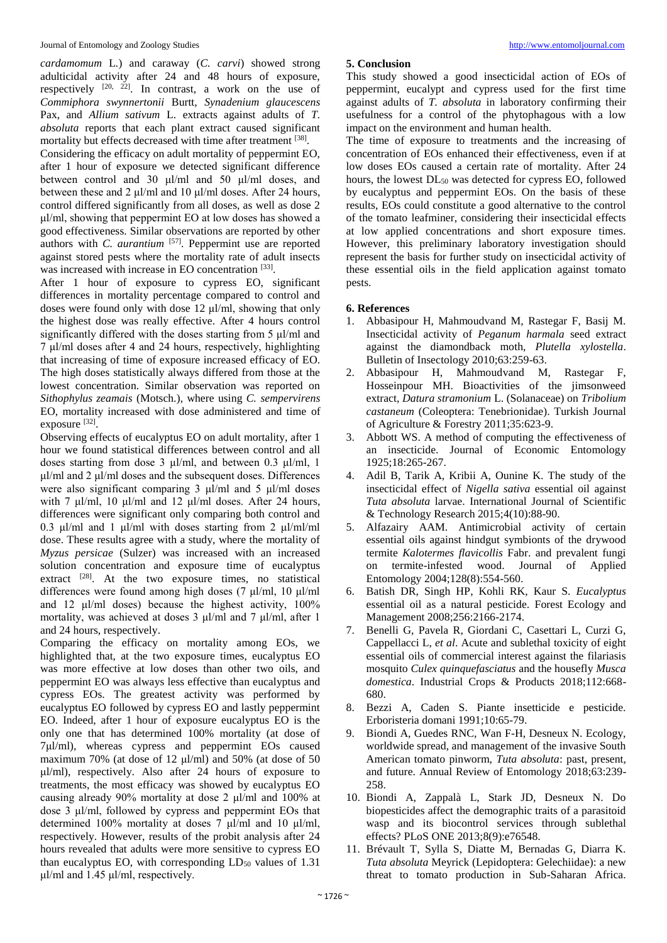*cardamomum* L*.*) and caraway (*C. carvi*) showed strong adulticidal activity after 24 and 48 hours of exposure, respectively  $[20, 22]$ . In contrast, a work on the use of *Commiphora swynnertonii* Burtt, *Synadenium glaucescens* Pax, and *Allium sativum* L. extracts against adults of *T. absoluta* reports that each plant extract caused significant mortality but effects decreased with time after treatment [38].

Considering the efficacy on adult mortality of peppermint EO, after 1 hour of exposure we detected significant difference between control and 30 μl/ml and 50 μl/ml doses, and between these and 2 μl/ml and 10 μl/ml doses. After 24 hours, control differed significantly from all doses, as well as dose 2 μl/ml, showing that peppermint EO at low doses has showed a good effectiveness. Similar observations are reported by other authors with *C. aurantium* [57]. Peppermint use are reported against stored pests where the mortality rate of adult insects was increased with increase in EO concentration [33].

After 1 hour of exposure to cypress EO, significant differences in mortality percentage compared to control and doses were found only with dose 12 μl/ml, showing that only the highest dose was really effective. After 4 hours control significantly differed with the doses starting from 5 μl/ml and 7 μl/ml doses after 4 and 24 hours, respectively, highlighting that increasing of time of exposure increased efficacy of EO. The high doses statistically always differed from those at the lowest concentration. Similar observation was reported on *Sithophylus zeamais* (Motsch.), where using *C. sempervirens* EO, mortality increased with dose administered and time of exposure [32].

Observing effects of eucalyptus EO on adult mortality, after 1 hour we found statistical differences between control and all doses starting from dose 3 μl/ml, and between 0.3 μl/ml, 1 μl/ml and 2 μl/ml doses and the subsequent doses. Differences were also significant comparing 3 μl/ml and 5 μl/ml doses with 7  $\mu$ l/ml, 10  $\mu$ l/ml and 12  $\mu$ l/ml doses. After 24 hours, differences were significant only comparing both control and 0.3 μl/ml and 1 μl/ml with doses starting from 2 μl/ml/ml dose. These results agree with a study, where the mortality of *Myzus persicae* (Sulzer) was increased with an increased solution concentration and exposure time of eucalyptus extract [28]. At the two exposure times, no statistical differences were found among high doses (7 μl/ml, 10 μl/ml and 12 μl/ml doses) because the highest activity, 100% mortality, was achieved at doses 3 μl/ml and 7 μl/ml, after 1 and 24 hours, respectively.

Comparing the efficacy on mortality among EOs, we highlighted that, at the two exposure times, eucalyptus EO was more effective at low doses than other two oils, and peppermint EO was always less effective than eucalyptus and cypress EOs. The greatest activity was performed by eucalyptus EO followed by cypress EO and lastly peppermint EO. Indeed, after 1 hour of exposure eucalyptus EO is the only one that has determined 100% mortality (at dose of 7μl/ml), whereas cypress and peppermint EOs caused maximum 70% (at dose of 12 μl/ml) and 50% (at dose of 50 μl/ml), respectively. Also after 24 hours of exposure to treatments, the most efficacy was showed by eucalyptus EO causing already 90% mortality at dose 2 μl/ml and 100% at dose 3 μl/ml, followed by cypress and peppermint EOs that determined 100% mortality at doses 7 μl/ml and 10 μl/ml, respectively. However, results of the probit analysis after 24 hours revealed that adults were more sensitive to cypress EO than eucalyptus EO, with corresponding  $LD_{50}$  values of 1.31 μl/ml and 1.45 μl/ml, respectively.

## **5. Conclusion**

This study showed a good insecticidal action of EOs of peppermint, eucalypt and cypress used for the first time against adults of *T. absoluta* in laboratory confirming their usefulness for a control of the phytophagous with a low impact on the environment and human health.

The time of exposure to treatments and the increasing of concentration of EOs enhanced their effectiveness, even if at low doses EOs caused a certain rate of mortality. After 24 hours, the lowest  $DL_{50}$  was detected for cypress EO, followed by eucalyptus and peppermint EOs. On the basis of these results, EOs could constitute a good alternative to the control of the tomato leafminer, considering their insecticidal effects at low applied concentrations and short exposure times. However, this preliminary laboratory investigation should represent the basis for further study on insecticidal activity of these essential oils in the field application against tomato pests.

# **6. References**

- 1. Abbasipour H, Mahmoudvand M, Rastegar F, Basij M. Insecticidal activity of *Peganum harmala* seed extract against the diamondback moth, *Plutella xylostella*. Bulletin of Insectology 2010;63:259-63.
- 2. Abbasipour H, Mahmoudvand M, Rastegar F, Hosseinpour MH. Bioactivities of the jimsonweed extract, *Datura stramonium* L. (Solanaceae) on *Tribolium castaneum* (Coleoptera: Tenebrionidae). Turkish Journal of Agriculture & Forestry 2011;35:623-9.
- 3. Abbott WS. A method of computing the effectiveness of an insecticide. Journal of Economic Entomology 1925;18:265-267.
- 4. Adil B, Tarik A, Kribii A, Ounine K. The study of the insecticidal effect of *Nigella sativa* essential oil against *Tuta absoluta* larvae. International Journal of Scientific & Technology Research 2015;4(10):88-90.
- 5. Alfazairy AAM. Antimicrobial activity of certain essential oils against hindgut symbionts of the drywood termite *Kalotermes flavicollis* Fabr. and prevalent fungi on termite-infested wood. Journal of Applied Entomology 2004;128(8):554-560.
- 6. Batish DR, Singh HP, Kohli RK, Kaur S. *Eucalyptus* essential oil as a natural pesticide. Forest Ecology and Management 2008;256:2166-2174.
- 7. Benelli G, Pavela R, Giordani C, Casettari L, Curzi G, Cappellacci L, *et al*. Acute and sublethal toxicity of eight essential oils of commercial interest against the filariasis mosquito *Culex quinquefasciatus* and the housefly *Musca domestica*. Industrial Crops & Products 2018;112:668- 680.
- 8. Bezzi A, Caden S. Piante insetticide e pesticide. Erboristeria domani 1991;10:65-79.
- 9. Biondi A, Guedes RNC, Wan F-H, Desneux N. Ecology, worldwide spread, and management of the invasive South American tomato pinworm, *Tuta absoluta*: past, present, and future. Annual Review of Entomology 2018;63:239- 258.
- 10. Biondi A, Zappalà L, Stark JD, Desneux N. Do biopesticides affect the demographic traits of a parasitoid wasp and its biocontrol services through sublethal effects? PLoS ONE 2013;8(9):e76548.
- 11. Brévault T, Sylla S, Diatte M, Bernadas G, Diarra K. *Tuta absoluta* Meyrick (Lepidoptera: Gelechiidae): a new threat to tomato production in Sub-Saharan Africa.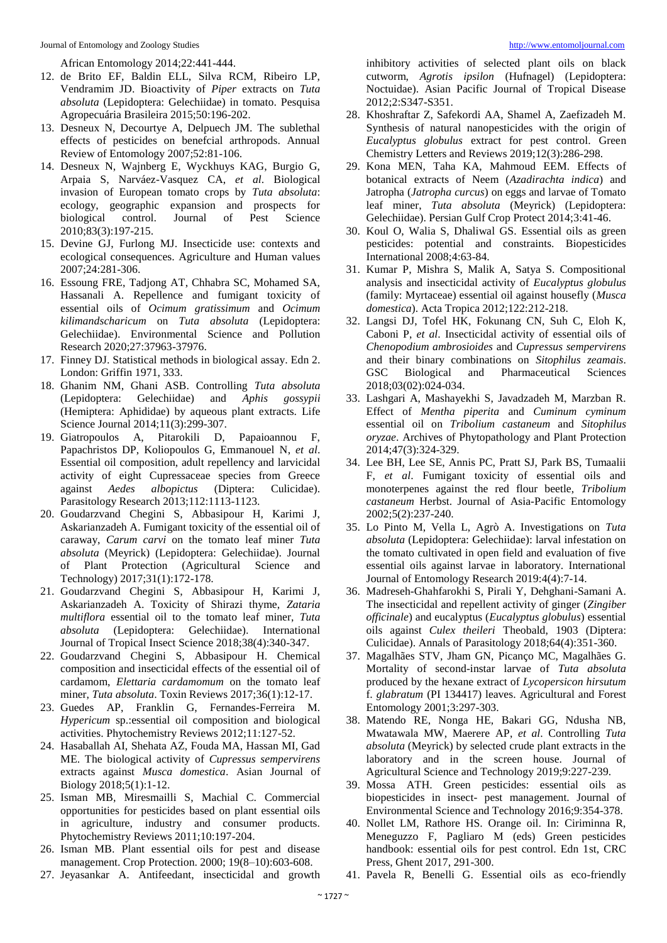African Entomology 2014;22:441-444.

- 12. de Brito EF, Baldin ELL, Silva RCM, Ribeiro LP, Vendramim JD. Bioactivity of *Piper* extracts on *Tuta absoluta* (Lepidoptera: Gelechiidae) in tomato. Pesquisa Agropecuária Brasileira 2015;50:196-202.
- 13. Desneux N, Decourtye A, Delpuech JM. The sublethal effects of pesticides on benefcial arthropods. Annual Review of Entomology 2007;52:81-106.
- 14. Desneux N, Wajnberg E, Wyckhuys KAG, Burgio G, Arpaia S, Narváez-Vasquez CA, *et al*. Biological invasion of European tomato crops by *Tuta absoluta*: ecology, geographic expansion and prospects for biological control. Journal of Pest Science 2010;83(3):197-215.
- 15. Devine GJ, Furlong MJ. Insecticide use: contexts and ecological consequences. Agriculture and Human values 2007;24:281-306.
- 16. Essoung FRE, Tadjong AT, Chhabra SC, Mohamed SA, Hassanali A. Repellence and fumigant toxicity of essential oils of *Ocimum gratissimum* and *Ocimum kilimandscharicum* on *Tuta absoluta* (Lepidoptera: Gelechiidae). Environmental Science and Pollution Research 2020;27:37963-37976.
- 17. Finney DJ. Statistical methods in biological assay. Edn 2. London: Griffin 1971, 333.
- 18. Ghanim NM, Ghani ASB. Controlling *Tuta absoluta* (Lepidoptera: Gelechiidae) and *Aphis gossypii* (Hemiptera: Aphididae) by aqueous plant extracts. Life Science Journal 2014;11(3):299-307.
- 19. Giatropoulos A, Pitarokili D, Papaioannou F, Papachristos DP, Koliopoulos G, Emmanouel N, *et al*. Essential oil composition, adult repellency and larvicidal activity of eight Cupressaceae species from Greece against *Aedes albopictus* (Diptera: Culicidae). Parasitology Research 2013;112:1113-1123.
- 20. Goudarzvand Chegini S, Abbasipour H, Karimi J, Askarianzadeh A. Fumigant toxicity of the essential oil of caraway, *Carum carvi* on the tomato leaf miner *Tuta absoluta* (Meyrick) (Lepidoptera: Gelechiidae). Journal of Plant Protection (Agricultural Science and Technology) 2017;31(1):172-178.
- 21. Goudarzvand Chegini S, Abbasipour H, Karimi J, Askarianzadeh A. Toxicity of Shirazi thyme, *Zataria multiflora* essential oil to the tomato leaf miner, *Tuta absoluta* (Lepidoptera: Gelechiidae). International Journal of Tropical Insect Science 2018;38(4):340-347.
- 22. Goudarzvand Chegini S, Abbasipour H. Chemical composition and insecticidal effects of the essential oil of cardamom, *Elettaria cardamomum* on the tomato leaf miner, *Tuta absoluta*. Toxin Reviews 2017;36(1):12-17.
- 23. Guedes AP, Franklin G, Fernandes-Ferreira M. *Hypericum* sp.:essential oil composition and biological activities. Phytochemistry Reviews 2012;11:127-52.
- 24. Hasaballah AI, Shehata AZ, Fouda MA, Hassan MI, Gad ME. The biological activity of *Cupressus sempervirens* extracts against *Musca domestica*. Asian Journal of Biology 2018;5(1):1-12.
- 25. Isman MB, Miresmailli S, Machial C. Commercial opportunities for pesticides based on plant essential oils in agriculture, industry and consumer products. Phytochemistry Reviews 2011;10:197-204.
- 26. Isman MB. Plant essential oils for pest and disease management. Crop Protection. 2000; 19(8–10):603-608.
- 27. Jeyasankar A. Antifeedant, insecticidal and growth

inhibitory activities of selected plant oils on black cutworm, *Agrotis ipsilon* (Hufnagel) (Lepidoptera: Noctuidae). Asian Pacific Journal of Tropical Disease 2012;2:S347-S351.

- 28. Khoshraftar Z, Safekordi AA, Shamel A, Zaefizadeh M. Synthesis of natural nanopesticides with the origin of *Eucalyptus globulus* extract for pest control. Green Chemistry Letters and Reviews 2019;12(3):286-298.
- 29. Kona MEN, Taha KA, Mahmoud EEM. Effects of botanical extracts of Neem (*Azadirachta indica*) and Jatropha (*Jatropha curcus*) on eggs and larvae of Tomato leaf miner, *Tuta absoluta* (Meyrick) (Lepidoptera: Gelechiidae). Persian Gulf Crop Protect 2014;3:41-46.
- 30. Koul O, Walia S, Dhaliwal GS. Essential oils as green pesticides: potential and constraints. Biopesticides International 2008;4:63-84.
- 31. Kumar P, Mishra S, Malik A, Satya S. Compositional analysis and insecticidal activity of *Eucalyptus globulus* (family: Myrtaceae) essential oil against housefly (*Musca domestica*). Acta Tropica 2012;122:212-218.
- 32. Langsi DJ, Tofel HK, Fokunang CN, Suh C, Eloh K, Caboni P, *et al*. Insecticidal activity of essential oils of *Chenopodium ambrosioides* and *Cupressus sempervirens* and their binary combinations on *Sitophilus zeamais*. GSC Biological and Pharmaceutical Sciences 2018;03(02):024-034.
- 33. Lashgari A, Mashayekhi S, Javadzadeh M, Marzban R. Effect of *Mentha piperita* and *Cuminum cyminum* essential oil on *Tribolium castaneum* and *Sitophilus oryzae*. Archives of Phytopathology and Plant Protection 2014;47(3):324-329.
- 34. Lee BH, Lee SE, Annis PC, Pratt SJ, Park BS, Tumaalii F, *et al*. Fumigant toxicity of essential oils and monoterpenes against the red flour beetle, *Tribolium castaneum* Herbst. Journal of Asia-Pacific Entomology 2002;5(2):237-240.
- 35. Lo Pinto M, Vella L, Agrò A. Investigations on *Tuta absoluta* (Lepidoptera: Gelechiidae): larval infestation on the tomato cultivated in open field and evaluation of five essential oils against larvae in laboratory. International Journal of Entomology Research 2019:4(4):7-14.
- 36. Madreseh-Ghahfarokhi S, Pirali Y, Dehghani-Samani A. The insecticidal and repellent activity of ginger (*Zingiber officinale*) and eucalyptus (*Eucalyptus globulus*) essential oils against *Culex theileri* Theobald, 1903 (Diptera: Culicidae). Annals of Parasitology 2018;64(4):351-360.
- 37. Magalhães STV, Jham GN, Picanço MC, Magalhães G. Mortality of second-instar larvae of *Tuta absoluta* produced by the hexane extract of *Lycopersicon hirsutum* f. *glabratum* (PI 134417) leaves. Agricultural and Forest Entomology 2001;3:297-303.
- 38. Matendo RE, Nonga HE, Bakari GG, Ndusha NB, Mwatawala MW, Maerere AP, *et al*. Controlling *Tuta absoluta* (Meyrick) by selected crude plant extracts in the laboratory and in the screen house. Journal of Agricultural Science and Technology 2019;9:227-239.
- 39. Mossa ATH. Green pesticides: essential oils as biopesticides in insect- pest management. Journal of Environmental Science and Technology 2016;9:354-378.
- 40. Nollet LM, Rathore HS. Orange oil. In: Ciriminna R, Meneguzzo F, Pagliaro M (eds) Green pesticides handbook: essential oils for pest control. Edn 1st, CRC Press, Ghent 2017, 291-300.
- 41. Pavela R, Benelli G. Essential oils as eco-friendly